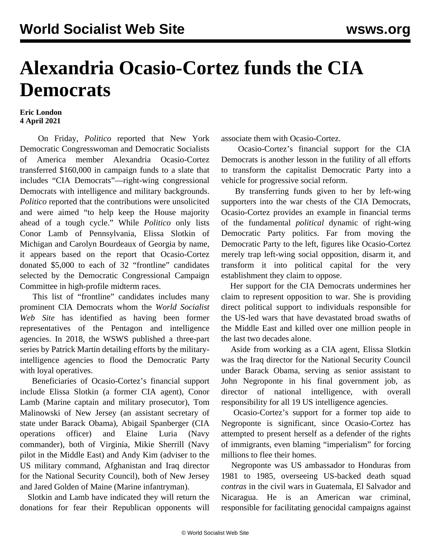## **Alexandria Ocasio-Cortez funds the CIA Democrats**

## **Eric London 4 April 2021**

 On Friday, *Politico* reported that New York Democratic Congresswoman and Democratic Socialists of America member Alexandria Ocasio-Cortez transferred \$160,000 in campaign funds to a slate that includes "CIA Democrats"—right-wing congressional Democrats with intelligence and military backgrounds. *Politico* reported that the contributions were unsolicited and were aimed "to help keep the House majority ahead of a tough cycle." While *Politico* only lists Conor Lamb of Pennsylvania, Elissa Slotkin of Michigan and Carolyn Bourdeaux of Georgia by name, it appears based on the report that Ocasio-Cortez donated \$5,000 to each of 32 "frontline" candidates selected by the Democratic Congressional Campaign Committee in high-profile midterm races.

 This list of "frontline" candidates includes many prominent CIA Democrats whom the *World Socialist Web Site* has identified as having been former representatives of the Pentagon and intelligence agencies. In 2018, the WSWS published a [three-part](/en/articles/2018/03/07/dems-m07.html)) [series](/en/articles/2018/03/07/dems-m07.html)) by Patrick Martin detailing efforts by the militaryintelligence agencies to flood the Democratic Party with loyal operatives.

 Beneficiaries of Ocasio-Cortez's financial support include Elissa Slotkin (a former CIA agent), Conor Lamb (Marine captain and military prosecutor), Tom Malinowski of New Jersey (an assistant secretary of state under Barack Obama), Abigail Spanberger (CIA operations officer) and Elaine Luria (Navy commander), both of Virginia, Mikie Sherrill (Navy pilot in the Middle East) and Andy Kim (adviser to the US military command, Afghanistan and Iraq director for the National Security Council), both of New Jersey and Jared Golden of Maine (Marine infantryman).

 Slotkin and Lamb have indicated they will return the donations for fear their Republican opponents will associate them with Ocasio-Cortez.

 Ocasio-Cortez's financial support for the CIA Democrats is another lesson in the futility of all efforts to transform the capitalist Democratic Party into a vehicle for progressive social reform.

 By transferring funds given to her by left-wing supporters into the war chests of the CIA Democrats, Ocasio-Cortez provides an example in financial terms of the fundamental *political* dynamic of right-wing Democratic Party politics. Far from moving the Democratic Party to the left, figures like Ocasio-Cortez merely trap left-wing social opposition, disarm it, and transform it into political capital for the very establishment they claim to oppose.

 Her support for the CIA Democrats undermines her claim to represent opposition to war. She is providing direct political support to individuals responsible for the US-led wars that have devastated broad swaths of the Middle East and killed over one million people in the last two decades alone.

 Aside from working as a CIA agent, Elissa Slotkin was the Iraq director for the National Security Council under Barack Obama, serving as senior assistant to John Negroponte in his final government job, as director of national intelligence, with overall responsibility for all 19 US intelligence agencies.

 Ocasio-Cortez's support for a former top aide to Negroponte is significant, since Ocasio-Cortez has attempted to present herself as a defender of the rights of immigrants, even blaming "imperialism" for forcing millions to flee their homes.

 Negroponte was US ambassador to Honduras from 1981 to 1985, overseeing US-backed death squad *contras* in the civil wars in Guatemala, El Salvador and Nicaragua. He is an American war criminal, responsible for facilitating genocidal campaigns against